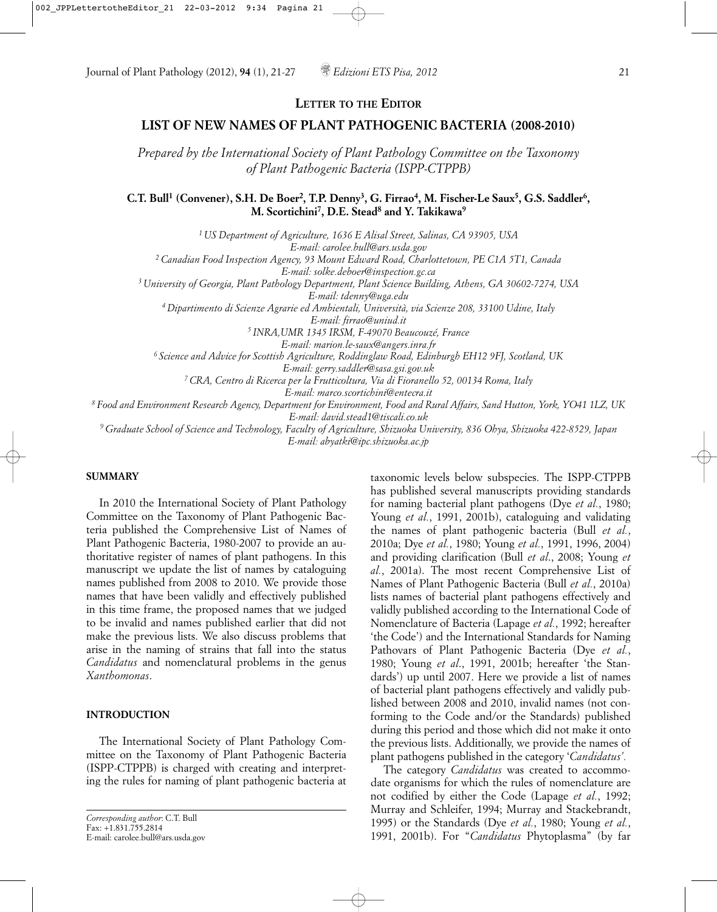# **LIST OF NEW NAMES OF PLANT PATHOGENIC BACTERIA (2008-2010)**

*Prepared by the International Society of Plant Pathology Committee on the Taxonomy of Plant Pathogenic Bacteria (ISPP-CTPPB)*

**C.T. Bull<sup>1</sup> (Convener), S.H. De Boer<sup>2</sup>, T.P. Denny<sup>3</sup>, G. Firrao<sup>4</sup>, M. Fischer-Le Saux<sup>5</sup>, G.S. Saddler<sup>6</sup>, M. Scortichini7, D.E. Stead8 and Y. Takikawa9**

*1 US Department of Agriculture, 1636 E Alisal Street, Salinas, CA 93905, USA E-mail: carolee.bull@ars.usda.gov 2 Canadian Food Inspection Agency, 93 Mount Edward Road, Charlottetown, PE C1A 5T1, Canada E-mail: solke.deboer@inspection.gc.ca 3 University of Georgia, Plant Pathology Department, Plant Science Building, Athens, GA 30602-7274, USA E-mail: tdenny@uga.edu 4 Dipartimento di Scienze Agrarie ed Ambientali, Università, via Scienze 208, 33100 Udine, Italy E-mail: firrao@uniud.it 5 INRA,UMR 1345 IRSM, F-49070 Beaucouzé, France E-mail: marion.le-saux@angers.inra.fr 6 Science and Advice for Scottish Agriculture, Roddinglaw Road, Edinburgh EH12 9FJ, Scotland, UK E-mail: gerry.saddler@sasa.gsi.gov.uk 7 CRA, Centro di Ricerca per la Frutticoltura, Via di Fioranello 52, 00134 Roma, Italy E-mail: marco.scortichini@entecra.it 8 Food and Environment Research Agency, Department for Environment, Food and Rural Affairs, Sand Hutton, York, YO41 1LZ, UK*

*E-mail: david.stead1@tiscali.co.uk*

*9 Graduate School of Science and Technology, Faculty of Agriculture, Shizuoka University, 836 Ohya, Shizuoka 422-8529, Japan E-mail: abyatki@ipc.shizuoka.ac.jp*

#### **SUMMARY**

In 2010 the International Society of Plant Pathology Committee on the Taxonomy of Plant Pathogenic Bacteria published the Comprehensive List of Names of Plant Pathogenic Bacteria, 1980-2007 to provide an authoritative register of names of plant pathogens. In this manuscript we update the list of names by cataloguing names published from 2008 to 2010. We provide those names that have been validly and effectively published in this time frame, the proposed names that we judged to be invalid and names published earlier that did not make the previous lists. We also discuss problems that arise in the naming of strains that fall into the status *Candidatus* and nomenclatural problems in the genus *Xanthomonas*.

#### **INTRODUCTION**

The International Society of Plant Pathology Committee on the Taxonomy of Plant Pathogenic Bacteria (ISPP-CTPPB) is charged with creating and interpreting the rules for naming of plant pathogenic bacteria at

taxonomic levels below subspecies. The ISPP-CTPPB has published several manuscripts providing standards for naming bacterial plant pathogens (Dye *et al.*, 1980; Young *et al.*, 1991, 2001b), cataloguing and validating the names of plant pathogenic bacteria (Bull *et al.*, 2010a; Dye *et al.*, 1980; Young *et al.*, 1991, 1996, 2004) and providing clarification (Bull *et al*., 2008; Young *et al.*, 2001a). The most recent Comprehensive List of Names of Plant Pathogenic Bacteria (Bull *et al.*, 2010a) lists names of bacterial plant pathogens effectively and validly published according to the International Code of Nomenclature of Bacteria (Lapage *et al.*, 1992; hereafter 'the Code') and the International Standards for Naming Pathovars of Plant Pathogenic Bacteria (Dye *et al.*, 1980; Young *et al*., 1991, 2001b; hereafter 'the Standards') up until 2007. Here we provide a list of names of bacterial plant pathogens effectively and validly published between 2008 and 2010, invalid names (not conforming to the Code and/or the Standards) published during this period and those which did not make it onto the previous lists. Additionally, we provide the names of plant pathogens published in the category '*Candidatus'.*

The category *Candidatus* was created to accommodate organisms for which the rules of nomenclature are not codified by either the Code (Lapage *et al.*, 1992; Murray and Schleifer, 1994; Murray and Stackebrandt, 1995) or the Standards (Dye *et al.*, 1980; Young *et al.*, 1991, 2001b). For "*Candidatus* Phytoplasma" (by far

*Corresponding author*: C.T. Bull Fax: +1.831.755.2814 E-mail: carolee.bull@ars.usda.gov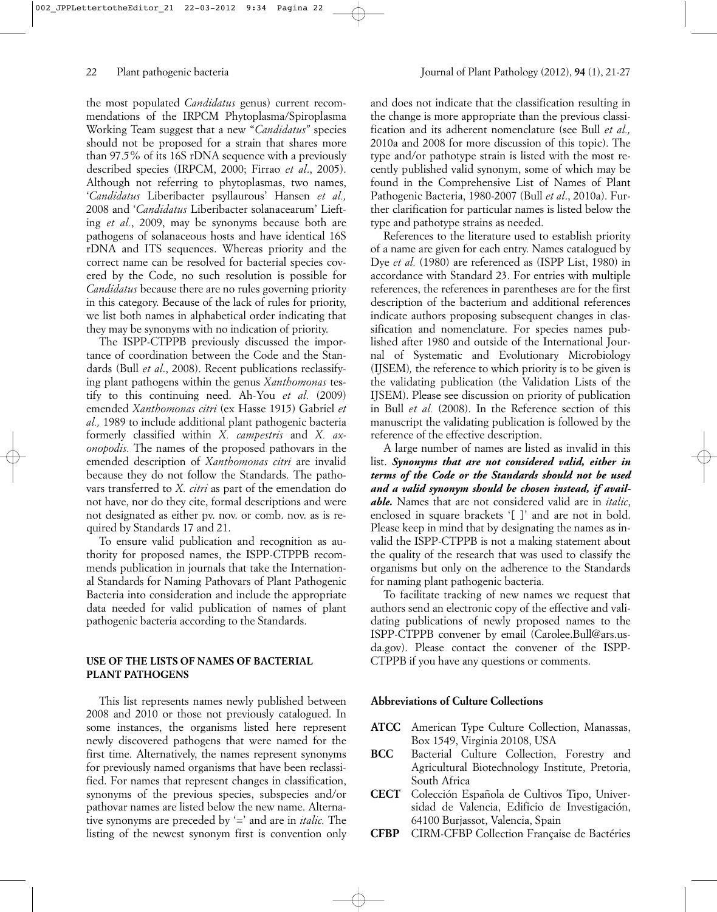the most populated *Candidatus* genus) current recommendations of the IRPCM Phytoplasma/Spiroplasma Working Team suggest that a new "*Candidatus"* species should not be proposed for a strain that shares more than 97.5% of its 16S rDNA sequence with a previously described species (IRPCM, 2000; Firrao *et al*., 2005). Although not referring to phytoplasmas, two names, '*Candidatus* Liberibacter psyllaurous' Hansen *et al.,* 2008 and '*Candidatus* Liberibacter solanacearum' Liefting *et al.*, 2009, may be synonyms because both are pathogens of solanaceous hosts and have identical 16S rDNA and ITS sequences. Whereas priority and the correct name can be resolved for bacterial species covered by the Code, no such resolution is possible for *Candidatus* because there are no rules governing priority in this category. Because of the lack of rules for priority, we list both names in alphabetical order indicating that they may be synonyms with no indication of priority.

The ISPP-CTPPB previously discussed the importance of coordination between the Code and the Standards (Bull *et al*., 2008). Recent publications reclassifying plant pathogens within the genus *Xanthomonas* testify to this continuing need. Ah-You *et al.* (2009) emended *Xanthomonas citri* (ex Hasse 1915) Gabriel *et al.,* 1989 to include additional plant pathogenic bacteria formerly classified within *X. campestris* and *X. axonopodis.* The names of the proposed pathovars in the emended description of *Xanthomonas citri* are invalid because they do not follow the Standards. The pathovars transferred to *X. citri* as part of the emendation do not have, nor do they cite, formal descriptions and were not designated as either pv. nov. or comb. nov. as is required by Standards 17 and 21.

To ensure valid publication and recognition as authority for proposed names, the ISPP-CTPPB recommends publication in journals that take the International Standards for Naming Pathovars of Plant Pathogenic Bacteria into consideration and include the appropriate data needed for valid publication of names of plant pathogenic bacteria according to the Standards.

### **USE OF THE LISTS OF NAMES OF BACTERIAL PLANT PATHOGENS**

This list represents names newly published between 2008 and 2010 or those not previously catalogued. In some instances, the organisms listed here represent newly discovered pathogens that were named for the first time. Alternatively, the names represent synonyms for previously named organisms that have been reclassified. For names that represent changes in classification, synonyms of the previous species, subspecies and/or pathovar names are listed below the new name. Alternative synonyms are preceded by '=' and are in *italic.* The listing of the newest synonym first is convention only

and does not indicate that the classification resulting in the change is more appropriate than the previous classification and its adherent nomenclature (see Bull *et al.,* 2010a and 2008 for more discussion of this topic). The type and/or pathotype strain is listed with the most recently published valid synonym, some of which may be found in the Comprehensive List of Names of Plant Pathogenic Bacteria, 1980-2007 (Bull *et al*., 2010a). Further clarification for particular names is listed below the type and pathotype strains as needed.

References to the literature used to establish priority of a name are given for each entry. Names catalogued by Dye *et al.* (1980) are referenced as (ISPP List, 1980) in accordance with Standard 23. For entries with multiple references, the references in parentheses are for the first description of the bacterium and additional references indicate authors proposing subsequent changes in classification and nomenclature. For species names published after 1980 and outside of the International Journal of Systematic and Evolutionary Microbiology (IJSEM)*,* the reference to which priority is to be given is the validating publication (the Validation Lists of the IJSEM). Please see discussion on priority of publication in Bull *et al.* (2008). In the Reference section of this manuscript the validating publication is followed by the reference of the effective description.

A large number of names are listed as invalid in this list. *Synonyms that are not considered valid, either in terms of the Code or the Standards should not be used and a valid synonym should be chosen instead, if available.* Names that are not considered valid are in *italic*, enclosed in square brackets '[ ]' and are not in bold. Please keep in mind that by designating the names as invalid the ISPP-CTPPB is not a making statement about the quality of the research that was used to classify the organisms but only on the adherence to the Standards for naming plant pathogenic bacteria.

To facilitate tracking of new names we request that authors send an electronic copy of the effective and validating publications of newly proposed names to the ISPP-CTPPB convener by email (Carolee.Bull@ars.usda.gov). Please contact the convener of the ISPP-CTPPB if you have any questions or comments.

### **Abbreviations of Culture Collections**

- **ATCC** American Type Culture Collection, Manassas, Box 1549, Virginia 20108, USA
- **BCC** Bacterial Culture Collection, Forestry and Agricultural Biotechnology Institute, Pretoria, South Africa
- **CECT** Colección Española de Cultivos Tipo, Universidad de Valencia, Edificio de Investigación, 64100 Burjassot, Valencia, Spain
- **CFBP** CIRM-CFBP Collection Française de Bactéries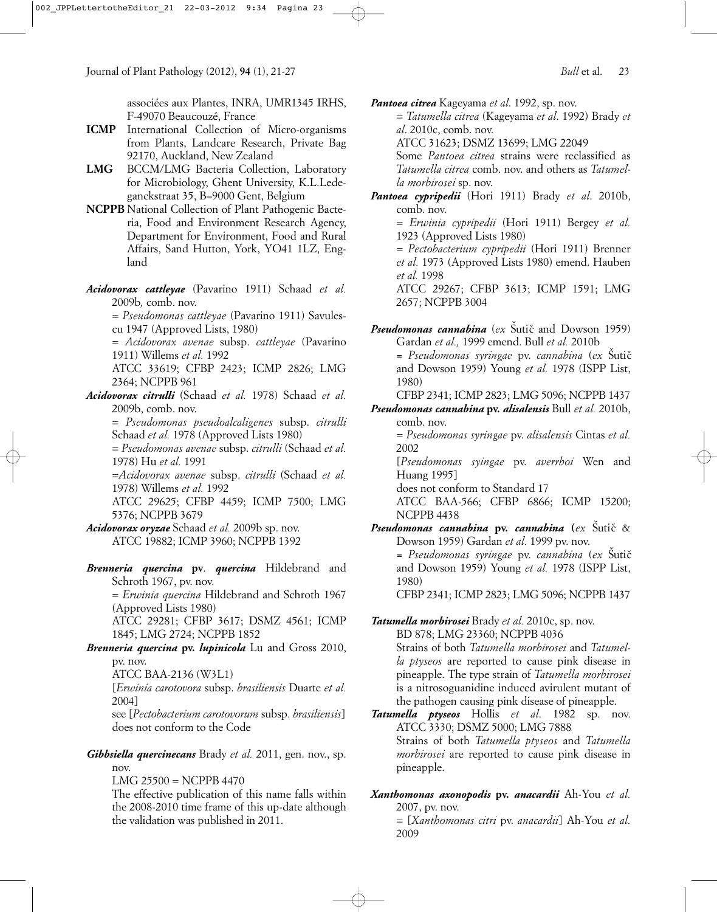associées aux Plantes, INRA, UMR1345 IRHS, F-49070 Beaucouzé, France

- **ICMP** International Collection of Micro-organisms from Plants, Landcare Research, Private Bag 92170, Auckland, New Zealand
- **LMG** BCCM/LMG Bacteria Collection, Laboratory for Microbiology, Ghent University, K.L.Ledeganckstraat 35, B–9000 Gent, Belgium
- **NCPPB** National Collection of Plant Pathogenic Bacteria, Food and Environment Research Agency, Department for Environment, Food and Rural Affairs, Sand Hutton, York, YO41 1LZ, England
- *Acidovorax cattleyae* (Pavarino 1911) Schaad *et al.* 2009b*,* comb. nov.

= *Pseudomonas cattleyae* (Pavarino 1911) Savulescu 1947 (Approved Lists, 1980)

= *Acidovorax avenae* subsp. *cattleyae* (Pavarino 1911) Willems *et al.* 1992

ATCC 33619; CFBP 2423; ICMP 2826; LMG 2364; NCPPB 961

*Acidovorax citrulli* (Schaad *et al.* 1978) Schaad *et al.* 2009b, comb. nov.

= *Pseudomonas pseudoalcaligenes* subsp. *citrulli* Schaad *et al.* 1978 (Approved Lists 1980)

= *Pseudomonas avenae* subsp. *citrulli* (Schaad *et al.* 1978) Hu *et al.* 1991

=*Acidovorax avenae* subsp. *citrulli* (Schaad *et al.* 1978) Willems *et al.* 1992

ATCC 29625; CFBP 4459; ICMP 7500; LMG 5376; NCPPB 3679

*Acidovorax oryzae* Schaad *et al.* 2009b sp. nov. ATCC 19882; ICMP 3960; NCPPB 1392

*Brenneria quercina* **pv**. *quercina* Hildebrand and Schroth 1967, pv. nov.

= *Erwinia quercina* Hildebrand and Schroth 1967 (Approved Lists 1980)

ATCC 29281; CFBP 3617; DSMZ 4561; ICMP 1845; LMG 2724; NCPPB 1852

*Brenneria quercina* **pv.** *lupinicola* Lu and Gross 2010, pv. nov.

ATCC BAA-2136 (W3L1)

[*Erwinia carotovora* subsp. *brasiliensis* Duarte *et al.* 2004]

see [*Pectobacterium carotovorum* subsp. *brasiliensis*] does not conform to the Code

*Gibbsiella quercinecans* Brady *et al.* 2011, gen. nov., sp. nov.

LMG 25500 = NCPPB 4470

The effective publication of this name falls within the 2008-2010 time frame of this up-date although the validation was published in 2011.

*Pantoea citrea* Kageyama *et al*. 1992, sp. nov.

= *Tatumella citrea* (Kageyama *et al*. 1992) Brady *et al*. 2010c, comb. nov.

ATCC 31623; DSMZ 13699; LMG 22049

Some *Pantoea citrea* strains were reclassified as *Tatumella citrea* comb. nov. and others as *Tatumella morbirosei* sp. nov.

*Pantoea cypripedii* (Hori 1911) Brady *et al*. 2010b, comb. nov.

= *Erwinia cypripedii* (Hori 1911) Bergey *et al.* 1923 (Approved Lists 1980)

= *Pectobacterium cypripedii* (Hori 1911) Brenner *et al.* 1973 (Approved Lists 1980) emend. Hauben *et al.* 1998

ATCC 29267; CFBP 3613; ICMP 1591; LMG 2657; NCPPB 3004

Pseudomonas cannabina (ex Šutič and Dowson 1959) Gardan *et al.,* 1999 emend. Bull *et al.* 2010b

*= Pseudomonas syringae* pv. *cannabina* (*ex* S ˇuticˇ and Dowson 1959) Young *et al.* 1978 (ISPP List, 1980)

CFBP 2341; ICMP 2823; LMG 5096; NCPPB 1437

*Pseudomonas cannabina* **pv.** *alisalensis* Bull *et al.* 2010b, comb. nov.

= *Pseudomonas syringae* pv. *alisalensis* Cintas *et al.* 2002

[*Pseudomonas syingae* pv. *averrhoi* Wen and Huang 1995]

does not conform to Standard 17

ATCC BAA-566; CFBP 6866; ICMP 15200; NCPPB 4438

*Pseudomonas cannabina* **pv.** *cannabina* **(***ex* S ˇuticˇ & Dowson 1959) Gardan *et al.* 1999 pv. nov. *= Pseudomonas syringae* pv. *cannabina* (*ex* S ˇuticˇ and Dowson 1959) Young *et al.* 1978 (ISPP List, 1980) CFBP 2341; ICMP 2823; LMG 5096; NCPPB 1437

### *Tatumella morbirosei* Brady *et al.* 2010c, sp. nov. BD 878; LMG 23360; NCPPB 4036 Strains of both *Tatumella morbirosei* and *Tatumella ptyseos* are reported to cause pink disease in pineapple. The type strain of *Tatumella morbirosei* is a nitrosoguanidine induced avirulent mutant of

- the pathogen causing pink disease of pineapple. *Tatumella ptyseos* Hollis *et al*. 1982 sp. nov. ATCC 3330; DSMZ 5000; LMG 7888 Strains of both *Tatumella ptyseos* and *Tatumella morbirosei* are reported to cause pink disease in pineapple.
- *Xanthomonas axonopodis* **pv.** *anacardii* Ah-You *et al.* 2007, pv. nov. = [*Xanthomonas citri* pv. *anacardii*] Ah-You *et al.* 2009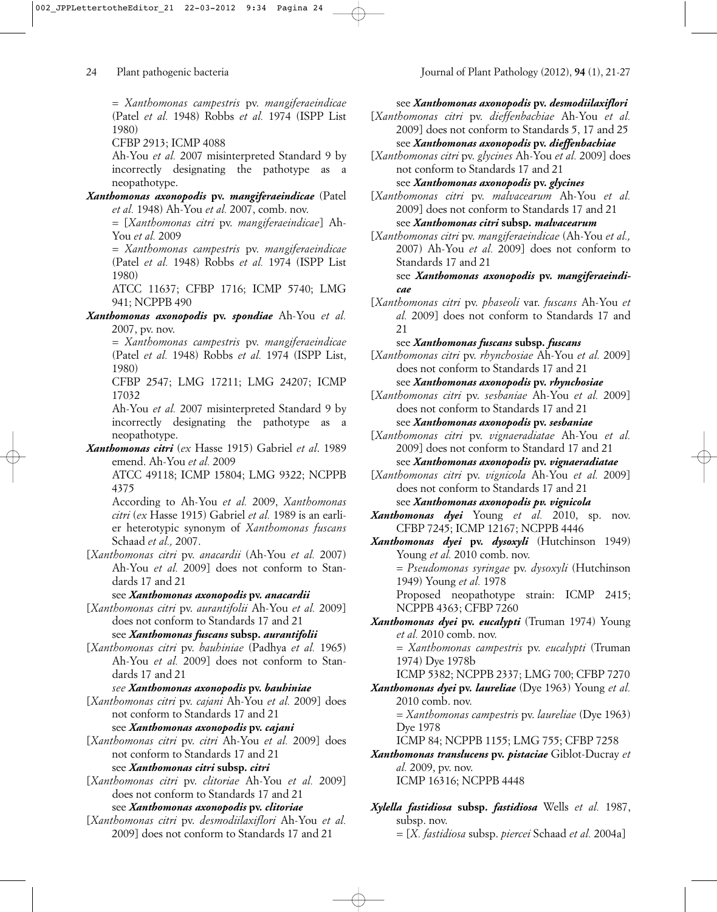= *Xanthomonas campestris* pv. *mangiferaeindicae* (Patel *et al.* 1948) Robbs *et al.* 1974 (ISPP List 1980)

CFBP 2913; ICMP 4088

Ah-You *et al.* 2007 misinterpreted Standard 9 by incorrectly designating the pathotype as a neopathotype.

*Xanthomonas axonopodis* **pv.** *mangiferaeindicae* (Patel *et al.* 1948) Ah-You *et al.* 2007, comb. nov.

= [*Xanthomonas citri* pv. *mangiferaeindicae*] Ah-You *et al.* 2009

*= Xanthomonas campestris* pv. *mangiferaeindicae* (Patel *et al.* 1948) Robbs *et al.* 1974 (ISPP List 1980)

ATCC 11637; CFBP 1716; ICMP 5740; LMG 941; NCPPB 490

*Xanthomonas axonopodis* **pv.** *spondiae* Ah-You *et al.* 2007, pv. nov.

= *Xanthomonas campestris* pv. *mangiferaeindicae* (Patel *et al.* 1948) Robbs *et al.* 1974 (ISPP List, 1980)

CFBP 2547; LMG 17211; LMG 24207; ICMP 17032

Ah-You *et al.* 2007 misinterpreted Standard 9 by incorrectly designating the pathotype as a neopathotype.

*Xanthomonas citri* (*ex* Hasse 1915) Gabriel *et al*. 1989 emend. Ah-You *et al.* 2009

ATCC 49118; ICMP 15804; LMG 9322; NCPPB 4375

According to Ah-You *et al.* 2009, *Xanthomonas citri* (*ex* Hasse 1915) Gabriel *et al.* 1989 is an earlier heterotypic synonym of *Xanthomonas fuscans* Schaad *et al.,* 2007.

[*Xanthomonas citri* pv. *anacardii* (Ah-You *et al.* 2007) Ah-You *et al.* 2009] does not conform to Standards 17 and 21

see *Xanthomonas axonopodis* **pv.** *anacardii*

[*Xanthomonas citri* pv. *aurantifolii* Ah-You *et al.* 2009] does not conform to Standards 17 and 21

see *Xanthomonas fuscans* **subsp.** *aurantifolii*

[*Xanthomonas citri* pv. *bauhiniae* (Padhya *et al.* 1965) Ah-You *et al.* 2009] does not conform to Standards 17 and 21

*see Xanthomonas axonopodis* **pv.** *bauhiniae*

[*Xanthomonas citri* pv. *cajani* Ah-You *et al.* 2009] does not conform to Standards 17 and 21

see *Xanthomonas axonopodis* **pv.** *cajani*

[*Xanthomonas citri* pv. *citri* Ah-You *et al.* 2009] does not conform to Standards 17 and 21 see *Xanthomonas citri* **subsp.** *citri*

[*Xanthomonas citri* pv. *clitoriae* Ah-You *et al.* 2009] does not conform to Standards 17 and 21

# see *Xanthomonas axonopodis* **pv.** *clitoriae*

[*Xanthomonas citri* pv. *desmodiilaxiflori* Ah-You *et al.* 2009] does not conform to Standards 17 and 21

see *Xanthomonas axonopodis* **pv.** *desmodiilaxiflori*

- [*Xanthomonas citri* pv. *dieffenbachiae* Ah-You *et al.* 2009] does not conform to Standards 5, 17 and 25 see *Xanthomonas axonopodis* **pv.** *dieffenbachiae*
- [*Xanthomonas citri* pv. *glycines* Ah-You *et al.* 2009] does not conform to Standards 17 and 21

see *Xanthomonas axonopodis* **pv.** *glycines*

[*Xanthomonas citri* pv. *malvacearum* Ah-You *et al.* 2009] does not conform to Standards 17 and 21 see *Xanthomonas citri* **subsp***. malvacearum*

[*Xanthomonas citri* pv. *mangiferaeindicae* (Ah-You *et al.,* 2007) Ah-You *et al.* 2009] does not conform to Standards 17 and 21

see *Xanthomonas axonopodis* **pv.** *mangiferaeindicae*

[*Xanthomonas citri* pv. *phaseoli* var. *fuscans* Ah-You *et al.* 2009] does not conform to Standards 17 and 21

see *Xanthomonas fuscans* **subsp***. fuscans*

[*Xanthomonas citri* pv. *rhynchosiae* Ah-You *et al.* 2009] does not conform to Standards 17 and 21

see *Xanthomonas axonopodis* **pv.** *rhynchosiae*

[*Xanthomonas citri* pv. *sesbaniae* Ah-You *et al.* 2009] does not conform to Standards 17 and 21 see *Xanthomonas axonopodis* **pv.** *sesbaniae*

[*Xanthomonas citri* pv. *vignaeradiatae* Ah-You *et al.* 2009] does not conform to Standard 17 and 21 see *Xanthomonas axonopodis* **pv.** *vignaeradiatae*

[*Xanthomonas citri* pv. *vignicola* Ah-You *et al.* 2009] does not conform to Standards 17 and 21

see *Xanthomonas axonopodis pv. vignicola*

- *Xanthomonas dyei* Young *et al.* 2010, sp. nov. CFBP 7245; ICMP 12167; NCPPB 4446
- *Xanthomonas dyei* **pv.** *dysoxyli* (Hutchinson 1949) Young *et al.* 2010 comb. nov.

= *Pseudomonas syringae* pv. *dysoxyli* (Hutchinson 1949) Young *et al.* 1978

Proposed neopathotype strain: ICMP 2415; NCPPB 4363; CFBP 7260

*Xanthomonas dyei* **pv.** *eucalypti* (Truman 1974) Young *et al.* 2010 comb. nov.

= *Xanthomonas campestris* pv. *eucalypti* (Truman 1974) Dye 1978b

ICMP 5382; NCPPB 2337; LMG 700; CFBP 7270

*Xanthomonas dyei* **pv.** *laureliae* (Dye 1963) Young *et al.* 2010 comb. nov. = *Xanthomonas campestris* pv. *laureliae* (Dye 1963)

Dye 1978 ICMP 84; NCPPB 1155; LMG 755; CFBP 7258

- *Xanthomonas translucens* **pv.** *pistaciae* Giblot-Ducray *et al.* 2009, pv. nov. ICMP 16316; NCPPB 4448
- *Xylella fastidiosa* **subsp.** *fastidiosa* Wells *et al.* 1987, subsp. nov.

= [*X. fastidiosa* subsp. *piercei* Schaad *et al.* 2004a]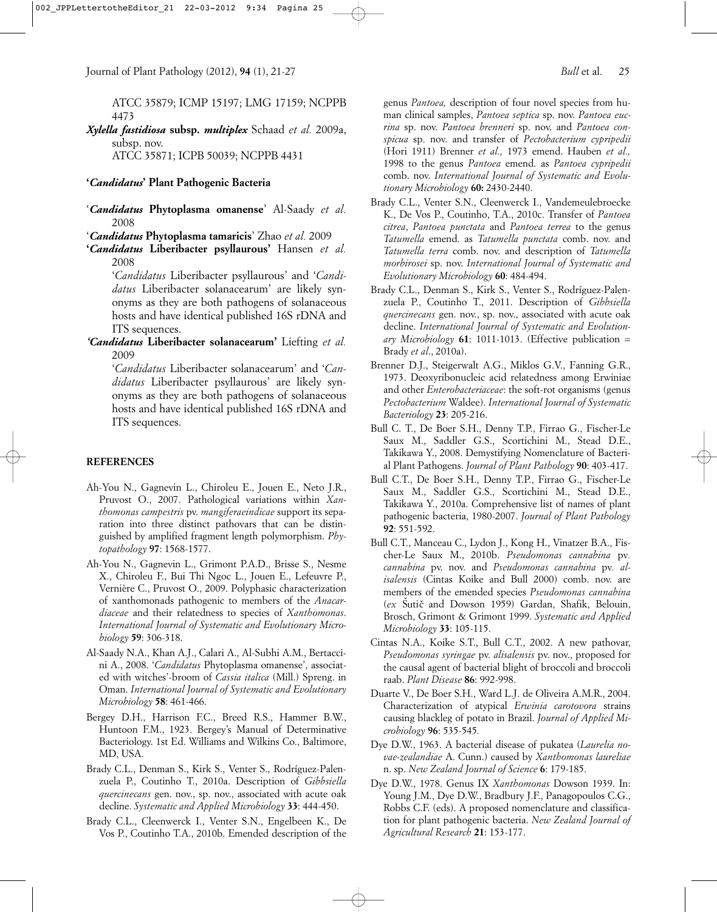ATCC 35879; ICMP 15197; LMG 17159; NCPPB 4473

*Xylella fastidiosa* **subsp.** *multiplex* Schaad *et al.* 2009a, subsp. nov.

ATCC 35871; ICPB 50039; NCPPB 4431

### **'***Candidatus***' Plant Pathogenic Bacteria**

'*Candidatus* **Phytoplasma omanense**' Al-Saady *et al.* 2008

'*Candidatus* **Phytoplasma tamaricis**' Zhao *et al.* 2009

**'***Candidatus* **Liberibacter psyllaurous'** Hansen *et al.* 2008

'*Candidatus* Liberibacter psyllaurous' and '*Candidatus* Liberibacter solanacearum' are likely synonyms as they are both pathogens of solanaceous hosts and have identical published 16S rDNA and ITS sequences.

*'Candidatus* **Liberibacter solanacearum'** Liefting *et al.* 2009

'*Candidatus* Liberibacter solanacearum' and '*Candidatus* Liberibacter psyllaurous' are likely synonyms as they are both pathogens of solanaceous hosts and have identical published 16S rDNA and ITS sequences.

### **REFERENCES**

- Ah-You N., Gagnevin L., Chiroleu E., Jouen E., Neto J.R., Pruvost O., 2007. Pathological variations within *Xanthomonas campestris* pv. *mangiferaeindicae* support its separation into three distinct pathovars that can be distinguished by amplified fragment length polymorphism. *Phytopathology* **97**: 1568-1577.
- Ah-You N., Gagnevin L., Grimont P.A.D., Brisse S., Nesme X., Chiroleu F., Bui Thi Ngoc L., Jouen E., Lefeuvre P., Vernière C., Pruvost O., 2009. Polyphasic characterization of xanthomonads pathogenic to members of the *Anacardiaceae* and their relatedness to species of *Xanthomonas*. *International Journal of Systematic and Evolutionary Microbiology* **59**: 306-318.
- Al-Saady N.A., Khan A.J., Calari A., Al-Subhi A.M., Bertaccini A., 2008. '*Candidatus* Phytoplasma omanense', associated with witches'-broom of *Cassia italica* (Mill.) Spreng. in Oman. *International Journal of Systematic and Evolutionary Microbiology* **58**: 461-466.
- Bergey D.H., Harrison F.C., Breed R.S., Hammer B.W., Huntoon F.M., 1923. Bergey's Manual of Determinative Bacteriology. 1st Ed. Williams and Wilkins Co., Baltimore, MD, USA.
- Brady C.L., Denman S., Kirk S., Venter S., Rodríguez-Palenzuela P., Coutinho T., 2010a. Description of *Gibbsiella quercinecans* gen. nov., sp. nov., associated with acute oak decline. *Systematic and Applied Microbiology* **33**: 444-450.
- Brady C.L., Cleenwerck I., Venter S.N., Engelbeen K., De Vos P., Coutinho T.A., 2010b. Emended description of the

genus *Pantoea,* description of four novel species from human clinical samples, *Pantoea septica* sp. nov. *Pantoea eucrina* sp. nov. *Pantoea brenneri* sp. nov. and *Pantoea conspicua* sp. nov. and transfer of *Pectobacterium cypripedii* (Hori 1911) Brenner *et al.,* 1973 emend. Hauben *et al.,* 1998 to the genus *Pantoea* emend. as *Pantoea cypripedii* comb. nov. *International Journal of Systematic and Evolutionary Microbiology* **60:** 2430-2440.

- Brady C.L., Venter S.N., Cleenwerck I., Vandemeulebroecke K., De Vos P., Coutinho, T.A., 2010c. Transfer of *Pantoea citrea*, *Pantoea punctata* and *Pantoea terrea* to the genus *Tatumella* emend. as *Tatumella punctata* comb. nov. and *Tatumella terra* comb. nov. and description of *Tatumella morbirosei* sp. nov. *International Journal of Systematic and Evolutionary Microbiology* **60**: 484-494.
- Brady C.L., Denman S., Kirk S., Venter S., Rodríguez-Palenzuela P., Coutinho T., 2011. Description of *Gibbsiella quercinecans* gen. nov., sp. nov., associated with acute oak decline. *International Journal of Systematic and Evolutionary Microbiology* **61**: 1011-1013. (Effective publication = Brady *et al*., 2010a).
- Brenner D.J., Steigerwalt A.G., Miklos G.V., Fanning G.R., 1973. Deoxyribonucleic acid relatedness among Erwiniae and other *Enterobacteriaceae*: the soft-rot organisms (genus *Pectobacterium* Waldee). *International Journal of Systematic Bacteriology* **23**: 205-216.
- Bull C. T., De Boer S.H., Denny T.P., Firrao G., Fischer-Le Saux M., Saddler G.S., Scortichini M., Stead D.E., Takikawa Y., 2008. Demystifying Nomenclature of Bacterial Plant Pathogens. *Journal of Plant Pathology* **90**: 403-417.
- Bull C.T., De Boer S.H., Denny T.P., Firrao G., Fischer-Le Saux M., Saddler G.S., Scortichini M., Stead D.E., Takikawa Y., 2010a. Comprehensive list of names of plant pathogenic bacteria, 1980-2007. *Journal of Plant Pathology* **92**: 551-592.
- Bull C.T., Manceau C., Lydon J., Kong H., Vinatzer B.A., Fischer-Le Saux M., 2010b. *Pseudomonas cannabina* pv*. cannabina* pv. nov. and *Pseudomonas cannabina* pv*. alisalensis* (Cintas Koike and Bull 2000) comb. nov. are members of the emended species *Pseudomonas cannabina* (ex Šutič and Dowson 1959) Gardan, Shafik, Belouin, Brosch, Grimont & Grimont 1999. *Systematic and Applied Microbiology* **33**: 105-115.
- Cintas N.A., Koike S.T., Bull C.T., 2002. A new pathovar, *Pseudomonas syringae* pv. *alisalensis* pv. nov., proposed for the causal agent of bacterial blight of broccoli and broccoli raab. *Plant Disease* **86**: 992-998.
- Duarte V., De Boer S.H., Ward L.J. de Oliveira A.M.R., 2004. Characterization of atypical *Erwinia carotovora* strains causing blackleg of potato in Brazil. *Journal of Applied Microbiology* **96**: 535-545*.*
- Dye D.W., 1963. A bacterial disease of pukatea (*Laurelia novae-zealandiae* A. Cunn.) caused by *Xanthomonas laureliae* n. sp. *New Zealand Journal of Science* **6**: 179-185.
- Dye D.W., 1978. Genus IX *Xanthomonas* Dowson 1939. In: Young J.M., Dye D.W., Bradbury J.F., Panagopoulos C.G., Robbs C.F. (eds). A proposed nomenclature and classification for plant pathogenic bacteria. *New Zealand Journal of Agricultural Research* **21**: 153-177.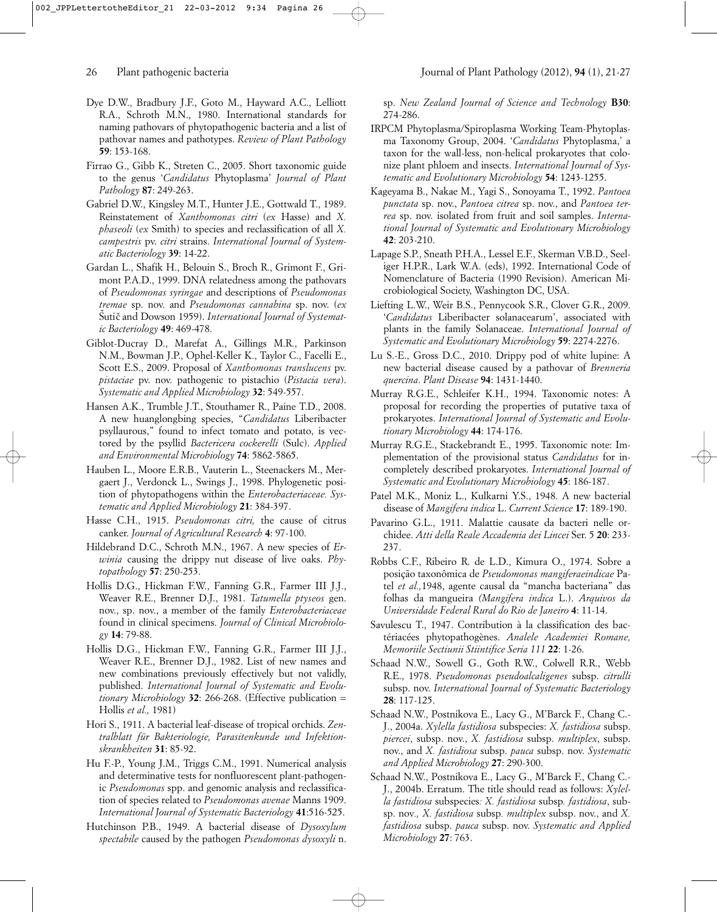- Dye D.W., Bradbury J.F., Goto M., Hayward A.C., Lelliott R.A., Schroth M.N., 1980. International standards for naming pathovars of phytopathogenic bacteria and a list of pathovar names and pathotypes. *Review of Plant Pathology* **59**: 153-168.
- Firrao G., Gibb K., Streten C., 2005. Short taxonomic guide to the genus '*Candidatus* Phytoplasma' *Journal of Plant Pathology* **87**: 249-263.
- Gabriel D.W., Kingsley M.T., Hunter J.E., Gottwald T., 1989. Reinstatement of *Xanthomonas citri* (*ex* Hasse) and *X. phaseoli* (*ex* Smith) to species and reclassification of all *X. campestris* pv. *citri* strains. *International Journal of Systematic Bacteriology* **39**: 14-22.
- Gardan L., Shafik H., Belouin S., Broch R., Grimont F., Grimont P.A.D., 1999. DNA relatedness among the pathovars of *Pseudomonas syringae* and descriptions of *Pseudomonas tremae* sp. nov. and *Pseudomonas cannabina* sp. nov. (*ex* Šutič and Dowson 1959). International Journal of Systemat*ic Bacteriology* **49**: 469-478.
- Giblot-Ducray D., Marefat A., Gillings M.R., Parkinson N.M., Bowman J.P., Ophel-Keller K., Taylor C., Facelli E., Scott E.S., 2009. Proposal of *Xanthomonas translucens* pv. *pistaciae* pv. nov. pathogenic to pistachio (*Pistacia vera*). *Systematic and Applied Microbiology* **32**: 549-557.
- Hansen A.K., Trumble J.T., Stouthamer R., Paine T.D., 2008. A new huanglongbing species, "*Candidatus* Liberibacter psyllaurous," found to infect tomato and potato, is vectored by the psyllid *Bactericera cockerelli* (Sulc). *Applied and Environmental Microbiology* **74**: 5862-5865.
- Hauben L., Moore E.R.B., Vauterin L., Steenackers M., Mergaert J., Verdonck L., Swings J., 1998. Phylogenetic position of phytopathogens within the *Enterobacteriaceae. Systematic and Applied Microbiology* **21**: 384-397.
- Hasse C.H., 1915. *Pseudomonas citri,* the cause of citrus canker. *Journal of Agricultural Research* **4**: 97-100.
- Hildebrand D.C., Schroth M.N., 1967. A new species of *Erwinia* causing the drippy nut disease of live oaks. *Phytopathology* **57**: 250-253.
- Hollis D.G., Hickman F.W., Fanning G.R., Farmer III J.J., Weaver R.E., Brenner D.J., 1981. *Tatumella ptyseos* gen. nov., sp. nov., a member of the family *Enterobacteriaceae* found in clinical specimens. *Journal of Clinical Microbiology* **14**: 79-88.
- Hollis D.G., Hickman F.W., Fanning G.R., Farmer III J.J., Weaver R.E., Brenner D.J., 1982. List of new names and new combinations previously effectively but not validly, published. *International Journal of Systematic and Evolutionary Microbiology* **32**: 266-268. (Effective publication = Hollis *et al.,* 1981)
- Hori S., 1911. A bacterial leaf-disease of tropical orchids. *Zentralblatt für Bakteriologie, Parasitenkunde und Infektionskrankheiten* **31**: 85-92.
- Hu F.-P., Young J.M., Triggs C.M., 1991. Numerical analysis and determinative tests for nonfluorescent plant-pathogenic *Pseudomonas* spp. and genomic analysis and reclassification of species related to *Pseudomonas avenae* Manns 1909. *International Journal of Systematic Bacteriology* **41**:516-525.
- Hutchinson P.B., 1949. A bacterial disease of *Dysoxylum spectabile* caused by the pathogen *Pseudomonas dysoxyli* n.

sp. *New Zealand Journal of Science and Technology* **B30**: 274-286.

- IRPCM Phytoplasma/Spiroplasma Working Team-Phytoplasma Taxonomy Group, 2004. '*Candidatus* Phytoplasma,' a taxon for the wall-less, non-helical prokaryotes that colonize plant phloem and insects. *International Journal of Systematic and Evolutionary Microbiology* **54**: 1243-1255.
- Kageyama B., Nakae M., Yagi S., Sonoyama T., 1992. *Pantoea punctata* sp. nov., *Pantoea citrea* sp. nov., and *Pantoea terrea* sp. nov. isolated from fruit and soil samples. *International Journal of Systematic and Evolutionary Microbiology* **42**: 203-210.
- Lapage S.P., Sneath P.H.A., Lessel E.F., Skerman V.B.D., Seeliger H.P.R., Lark W.A. (eds), 1992. International Code of Nomenclature of Bacteria (1990 Revision). American Microbiological Society, Washington DC, USA.
- Liefting L.W., Weir B.S., Pennycook S.R., Clover G.R., 2009. '*Candidatus* Liberibacter solanacearum', associated with plants in the family Solanaceae. *International Journal of Systematic and Evolutionary Microbiology* **59**: 2274-2276.
- Lu S.-E., Gross D.C., 2010. Drippy pod of white lupine: A new bacterial disease caused by a pathovar of *Brenneria quercina*. *Plant Disease* **94**: 1431-1440.
- Murray R.G.E., Schleifer K.H., 1994. Taxonomic notes: A proposal for recording the properties of putative taxa of prokaryotes. *International Journal of Systematic and Evolutionary Microbiology* **44**: 174-176.
- Murray R.G.E., Stackebrandt E., 1995. Taxonomic note: Implementation of the provisional status *Candidatus* for incompletely described prokaryotes. *International Journal of Systematic and Evolutionary Microbiology* **45**: 186-187.
- Patel M.K., Moniz L., Kulkarni Y.S., 1948. A new bacterial disease of *Mangifera indica* L. *Current Science* **17**: 189-190.
- Pavarino G.L., 1911. Malattie causate da bacteri nelle orchidee. *Atti della Reale Accademia dei Lincei* Ser. 5 **20**: 233- 237.
- Robbs C.F., Ribeiro R. de L.D., Kimura O., 1974. Sobre a posição taxonômica de *Pseudomonas mangiferaeindicae* Patel *et al.,*1948, agente causal da "mancha bacteriana" das folhas da mangueira *(Mangifera indica* L.). *Arquivos da Universidade Federal Rural do Rio de Janeiro* **4**: 11-14.
- Savulescu T., 1947. Contribution à la classification des bactériacées phytopathogènes. *Analele Academiei Romane, Memoriile Sectiunii Stiintifice Seria 111* **22**: 1-26.
- Schaad N.W., Sowell G., Goth R.W., Colwell R.R., Webb R.E., 1978. *Pseudomonas pseudoalcaligenes* subsp. *citrulli* subsp. nov. *International Journal of Systematic Bacteriology* **28**: 117-125.
- Schaad N.W., Postnikova E., Lacy G., M'Barck F., Chang C.- J., 2004a. *Xylella fastidiosa* subspecies: *X. fastidiosa* subsp. *piercei*, subsp. nov., *X. fastidiosa* subsp. *multiplex*, subsp. nov., and *X. fastidiosa* subsp. *pauca* subsp. nov. *Systematic and Applied Microbiology* **27**: 290-300.
- Schaad N.W., Postnikova E., Lacy G., M'Barck F., Chang C.- J., 2004b. Erratum. The title should read as follows: *Xylella fastidiosa* subspecies*: X. fastidiosa* subsp*. fastidiosa*, subsp. nov*., X. fastidiosa* subsp*. multiplex* subsp. nov., and *X. fastidiosa* subsp. *pauca* subsp. nov. *Systematic and Applied Microbiology* **27**: 763.